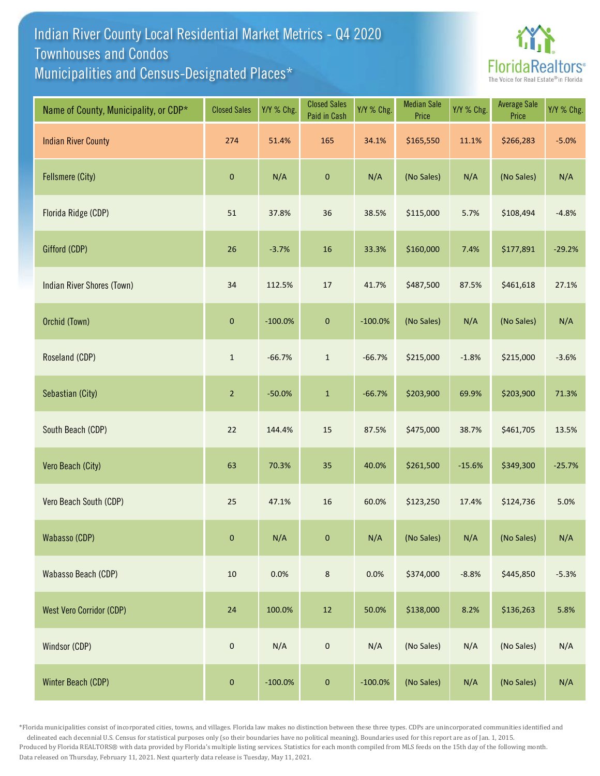## Indian River County Local Residential Market Metrics - Q4 2020 Municipalities and Census-Designated Places\* Townhouses and Condos



| Name of County, Municipality, or CDP* | <b>Closed Sales</b> | Y/Y % Chg. | <b>Closed Sales</b><br>Paid in Cash | Y/Y % Chg. | <b>Median Sale</b><br>Price | Y/Y % Chg. | <b>Average Sale</b><br>Price | Y/Y % Chg. |
|---------------------------------------|---------------------|------------|-------------------------------------|------------|-----------------------------|------------|------------------------------|------------|
| <b>Indian River County</b>            | 274                 | 51.4%      | 165                                 | 34.1%      | \$165,550                   | 11.1%      | \$266,283                    | $-5.0%$    |
| <b>Fellsmere (City)</b>               | $\pmb{0}$           | N/A        | $\pmb{0}$                           | N/A        | (No Sales)                  | N/A        | (No Sales)                   | N/A        |
| Florida Ridge (CDP)                   | 51                  | 37.8%      | 36                                  | 38.5%      | \$115,000                   | 5.7%       | \$108,494                    | $-4.8%$    |
| Gifford (CDP)                         | 26                  | $-3.7%$    | 16                                  | 33.3%      | \$160,000                   | 7.4%       | \$177,891                    | $-29.2%$   |
| Indian River Shores (Town)            | 34                  | 112.5%     | 17                                  | 41.7%      | \$487,500                   | 87.5%      | \$461,618                    | 27.1%      |
| Orchid (Town)                         | $\pmb{0}$           | $-100.0%$  | $\pmb{0}$                           | $-100.0%$  | (No Sales)                  | N/A        | (No Sales)                   | N/A        |
| Roseland (CDP)                        | $\mathbf{1}$        | $-66.7%$   | $\mathbf 1$                         | $-66.7%$   | \$215,000                   | $-1.8%$    | \$215,000                    | $-3.6%$    |
| Sebastian (City)                      | $\overline{2}$      | $-50.0%$   | $\mathbf 1$                         | $-66.7%$   | \$203,900                   | 69.9%      | \$203,900                    | 71.3%      |
| South Beach (CDP)                     | 22                  | 144.4%     | 15                                  | 87.5%      | \$475,000                   | 38.7%      | \$461,705                    | 13.5%      |
| Vero Beach (City)                     | 63                  | 70.3%      | 35                                  | 40.0%      | \$261,500                   | $-15.6%$   | \$349,300                    | $-25.7%$   |
| Vero Beach South (CDP)                | 25                  | 47.1%      | 16                                  | 60.0%      | \$123,250                   | 17.4%      | \$124,736                    | 5.0%       |
| Wabasso (CDP)                         | $\mathbf 0$         | N/A        | $\mathbf{0}$                        | N/A        | (No Sales)                  | N/A        | (No Sales)                   | N/A        |
| Wabasso Beach (CDP)                   | $10\,$              | 0.0%       | $\bf 8$                             | 0.0%       | \$374,000                   | $-8.8%$    | \$445,850                    | $-5.3%$    |
| <b>West Vero Corridor (CDP)</b>       | $24\,$              | 100.0%     | $12\,$                              | 50.0%      | \$138,000                   | 8.2%       | \$136,263                    | 5.8%       |
| Windsor (CDP)                         | $\mathbf 0$         | N/A        | $\mathbf 0$                         | N/A        | (No Sales)                  | N/A        | (No Sales)                   | N/A        |
| Winter Beach (CDP)                    | $\pmb{0}$           | $-100.0%$  | $\pmb{0}$                           | $-100.0%$  | (No Sales)                  | N/A        | (No Sales)                   | N/A        |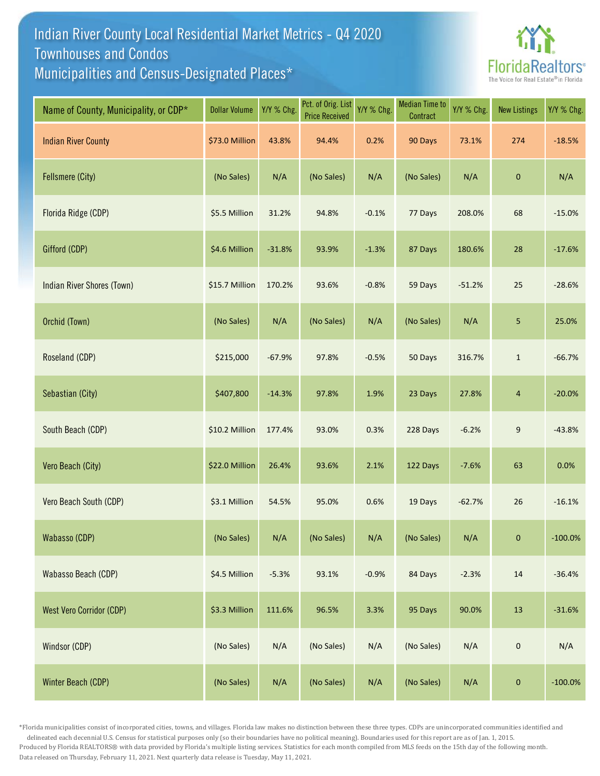## Indian River County Local Residential Market Metrics - Q4 2020 Municipalities and Census-Designated Places\* Townhouses and Condos



| Name of County, Municipality, or CDP* | <b>Dollar Volume</b> | Y/Y % Chg. | Pct. of Orig. List<br><b>Price Received</b> | Y/Y % Chg. | <b>Median Time to</b><br>Contract | Y/Y % Chg. | <b>New Listings</b> | Y/Y % Chg. |
|---------------------------------------|----------------------|------------|---------------------------------------------|------------|-----------------------------------|------------|---------------------|------------|
| <b>Indian River County</b>            | \$73.0 Million       | 43.8%      | 94.4%                                       | 0.2%       | 90 Days                           | 73.1%      | 274                 | $-18.5%$   |
| <b>Fellsmere (City)</b>               | (No Sales)           | N/A        | (No Sales)                                  | N/A        | (No Sales)                        | N/A        | $\mathbf 0$         | N/A        |
| Florida Ridge (CDP)                   | \$5.5 Million        | 31.2%      | 94.8%                                       | $-0.1%$    | 77 Days                           | 208.0%     | 68                  | $-15.0%$   |
| Gifford (CDP)                         | \$4.6 Million        | $-31.8%$   | 93.9%                                       | $-1.3%$    | 87 Days                           | 180.6%     | 28                  | $-17.6%$   |
| Indian River Shores (Town)            | \$15.7 Million       | 170.2%     | 93.6%                                       | $-0.8%$    | 59 Days                           | $-51.2%$   | 25                  | $-28.6%$   |
| Orchid (Town)                         | (No Sales)           | N/A        | (No Sales)                                  | N/A        | (No Sales)                        | N/A        | 5                   | 25.0%      |
| Roseland (CDP)                        | \$215,000            | $-67.9%$   | 97.8%                                       | $-0.5%$    | 50 Days                           | 316.7%     | $\mathbf 1$         | $-66.7%$   |
| Sebastian (City)                      | \$407,800            | $-14.3%$   | 97.8%                                       | 1.9%       | 23 Days                           | 27.8%      | 4                   | $-20.0%$   |
| South Beach (CDP)                     | \$10.2 Million       | 177.4%     | 93.0%                                       | 0.3%       | 228 Days                          | $-6.2%$    | 9                   | $-43.8%$   |
| Vero Beach (City)                     | \$22.0 Million       | 26.4%      | 93.6%                                       | 2.1%       | 122 Days                          | $-7.6%$    | 63                  | 0.0%       |
| Vero Beach South (CDP)                | \$3.1 Million        | 54.5%      | 95.0%                                       | 0.6%       | 19 Days                           | $-62.7%$   | 26                  | $-16.1%$   |
| Wabasso (CDP)                         | (No Sales)           | N/A        | (No Sales)                                  | N/A        | (No Sales)                        | N/A        | $\mathbf{0}$        | $-100.0\%$ |
| Wabasso Beach (CDP)                   | \$4.5 Million        | $-5.3%$    | 93.1%                                       | $-0.9%$    | 84 Days                           | $-2.3%$    | $14\,$              | $-36.4%$   |
| <b>West Vero Corridor (CDP)</b>       | \$3.3 Million        | 111.6%     | 96.5%                                       | 3.3%       | 95 Days                           | 90.0%      | 13                  | $-31.6%$   |
| Windsor (CDP)                         | (No Sales)           | N/A        | (No Sales)                                  | N/A        | (No Sales)                        | N/A        | $\mathbf 0$         | N/A        |
| Winter Beach (CDP)                    | (No Sales)           | N/A        | (No Sales)                                  | N/A        | (No Sales)                        | N/A        | $\mathbf 0$         | $-100.0%$  |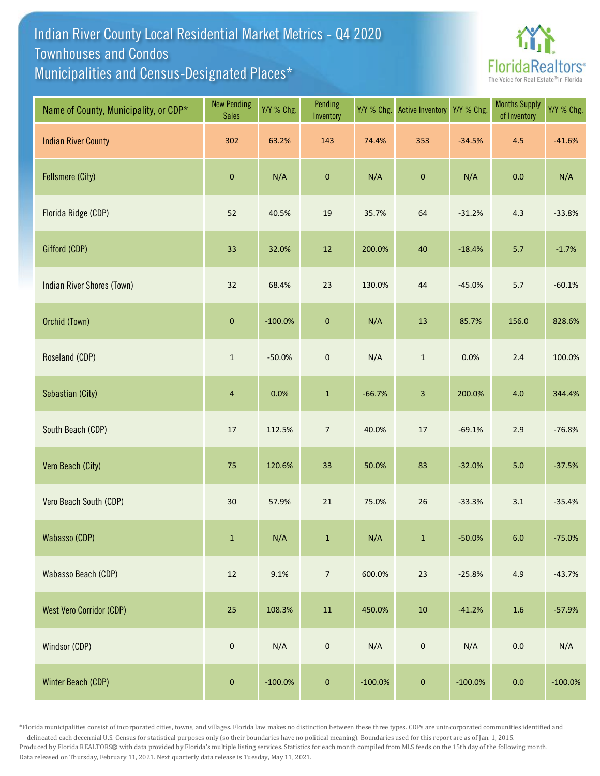## Indian River County Local Residential Market Metrics - Q4 2020 Municipalities and Census-Designated Places\* Townhouses and Condos



| Name of County, Municipality, or CDP* | <b>New Pending</b><br><b>Sales</b> | Y/Y % Chg. | Pending<br>Inventory | Y/Y % Chg. | <b>Active Inventory</b>   | Y/Y % Chg. | <b>Months Supply</b><br>of Inventory | Y/Y % Chg. |
|---------------------------------------|------------------------------------|------------|----------------------|------------|---------------------------|------------|--------------------------------------|------------|
| <b>Indian River County</b>            | 302                                | 63.2%      | 143                  | 74.4%      | 353                       | $-34.5%$   | 4.5                                  | $-41.6%$   |
| <b>Fellsmere (City)</b>               | $\pmb{0}$                          | N/A        | $\pmb{0}$            | N/A        | $\pmb{0}$                 | N/A        | 0.0                                  | N/A        |
| Florida Ridge (CDP)                   | 52                                 | 40.5%      | 19                   | 35.7%      | 64                        | $-31.2%$   | 4.3                                  | $-33.8%$   |
| Gifford (CDP)                         | 33                                 | 32.0%      | $12\,$               | 200.0%     | 40                        | $-18.4%$   | 5.7                                  | $-1.7%$    |
| Indian River Shores (Town)            | 32                                 | 68.4%      | 23                   | 130.0%     | $44\,$                    | $-45.0%$   | 5.7                                  | $-60.1%$   |
| Orchid (Town)                         | $\pmb{0}$                          | $-100.0%$  | $\pmb{0}$            | N/A        | 13                        | 85.7%      | 156.0                                | 828.6%     |
| Roseland (CDP)                        | $\,1\,$                            | $-50.0%$   | $\mathbf 0$          | N/A        | $\mathbf 1$               | 0.0%       | $2.4$                                | 100.0%     |
| Sebastian (City)                      | $\overline{4}$                     | 0.0%       | $\mathbf 1$          | $-66.7%$   | $\ensuremath{\mathsf{3}}$ | 200.0%     | $4.0$                                | 344.4%     |
| South Beach (CDP)                     | $17\,$                             | 112.5%     | $\boldsymbol{7}$     | 40.0%      | $17\,$                    | $-69.1%$   | 2.9                                  | $-76.8%$   |
| Vero Beach (City)                     | $75\,$                             | 120.6%     | 33                   | 50.0%      | 83                        | $-32.0%$   | $5.0$                                | $-37.5%$   |
| Vero Beach South (CDP)                | $30\,$                             | 57.9%      | 21                   | 75.0%      | 26                        | $-33.3%$   | 3.1                                  | $-35.4%$   |
| Wabasso (CDP)                         | $\mathbf 1$                        | N/A        | $\mathbf{1}$         | N/A        | $\mathbf 1$               | $-50.0%$   | $6.0\,$                              | $-75.0%$   |
| Wabasso Beach (CDP)                   | 12                                 | 9.1%       | $\overline{7}$       | 600.0%     | 23                        | $-25.8%$   | 4.9                                  | $-43.7%$   |
| <b>West Vero Corridor (CDP)</b>       | 25                                 | 108.3%     | ${\bf 11}$           | 450.0%     | $10\,$                    | $-41.2%$   | $1.6\,$                              | $-57.9%$   |
| Windsor (CDP)                         | $\mathbf 0$                        | N/A        | $\mathbf 0$          | N/A        | $\mathbf 0$               | N/A        | $0.0\,$                              | N/A        |
| Winter Beach (CDP)                    | $\pmb{0}$                          | $-100.0%$  | $\pmb{0}$            | $-100.0%$  | $\pmb{0}$                 | $-100.0%$  | $0.0\,$                              | $-100.0\%$ |